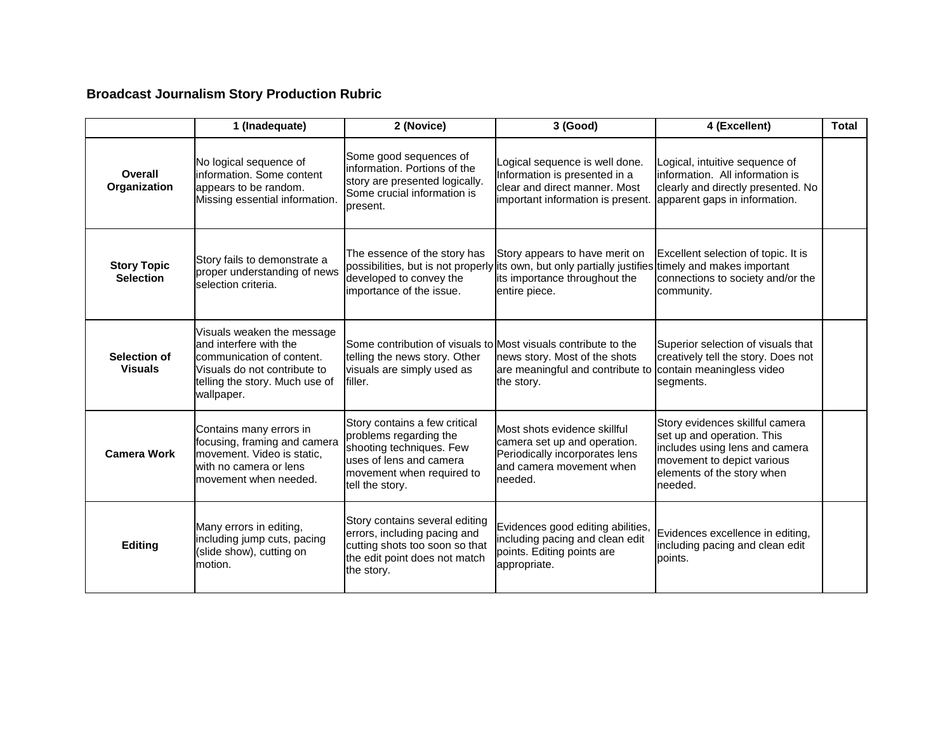## **Broadcast Journalism Story Production Rubric**

|                                        | 1 (Inadequate)                                                                                                                                                    | 2 (Novice)                                                                                                                                                     | 3 (Good)                                                                                                                              | 4 (Excellent)                                                                                                                                                          | <b>Total</b> |
|----------------------------------------|-------------------------------------------------------------------------------------------------------------------------------------------------------------------|----------------------------------------------------------------------------------------------------------------------------------------------------------------|---------------------------------------------------------------------------------------------------------------------------------------|------------------------------------------------------------------------------------------------------------------------------------------------------------------------|--------------|
| Overall<br>Organization                | No logical sequence of<br>information. Some content<br>appears to be random.<br>Missing essential information.                                                    | Some good sequences of<br>information. Portions of the<br>story are presented logically.<br>Some crucial information is<br>present.                            | Logical sequence is well done.<br>Information is presented in a<br>clear and direct manner. Most<br>important information is present. | Logical, intuitive sequence of<br>information. All information is<br>clearly and directly presented. No<br>apparent gaps in information.                               |              |
| <b>Story Topic</b><br><b>Selection</b> | Story fails to demonstrate a<br>proper understanding of news<br>selection criteria.                                                                               | The essence of the story has<br>possibilities, but is not properly<br>developed to convey the<br>importance of the issue.                                      | Story appears to have merit on<br>its own, but only partially justifies<br>its importance throughout the<br>entire piece.             | Excellent selection of topic. It is<br>timely and makes important<br>connections to society and/or the<br>community.                                                   |              |
| Selection of<br><b>Visuals</b>         | Visuals weaken the message<br>and interfere with the<br>communication of content.<br>Visuals do not contribute to<br>telling the story. Much use of<br>wallpaper. | Some contribution of visuals to Most visuals contribute to the<br>telling the news story. Other<br>visuals are simply used as<br>filler.                       | news story. Most of the shots<br>are meaningful and contribute to<br>the story.                                                       | Superior selection of visuals that<br>creatively tell the story. Does not<br>contain meaningless video<br>segments.                                                    |              |
| <b>Camera Work</b>                     | Contains many errors in<br>focusing, framing and camera<br>movement. Video is static,<br>with no camera or lens<br>movement when needed.                          | Story contains a few critical<br>problems regarding the<br>shooting techniques. Few<br>uses of lens and camera<br>movement when required to<br>tell the story. | Most shots evidence skillful<br>camera set up and operation.<br>Periodically incorporates lens<br>and camera movement when<br>needed. | Story evidences skillful camera<br>set up and operation. This<br>includes using lens and camera<br>movement to depict various<br>elements of the story when<br>needed. |              |
| <b>Editing</b>                         | Many errors in editing,<br>including jump cuts, pacing<br>(slide show), cutting on<br>motion.                                                                     | Story contains several editing<br>errors, including pacing and<br>cutting shots too soon so that<br>the edit point does not match<br>the story.                | Evidences good editing abilities,<br>including pacing and clean edit<br>points. Editing points are<br>appropriate.                    | Evidences excellence in editing,<br>including pacing and clean edit<br>points.                                                                                         |              |